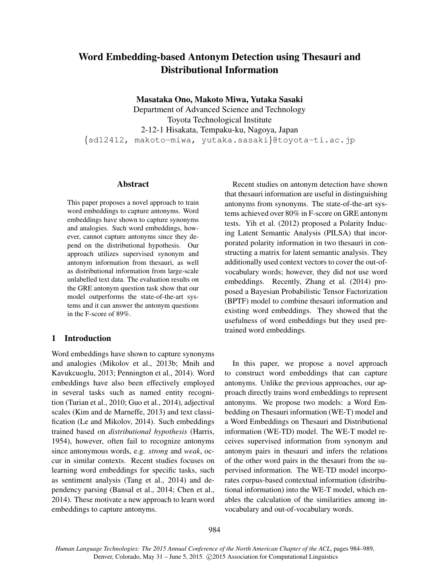# Word Embedding-based Antonym Detection using Thesauri and Distributional Information

Masataka Ono, Makoto Miwa, Yutaka Sasaki

Department of Advanced Science and Technology Toyota Technological Institute 2-12-1 Hisakata, Tempaku-ku, Nagoya, Japan {sd12412, makoto-miwa, yutaka.sasaki}@toyota-ti.ac.jp

#### Abstract

This paper proposes a novel approach to train word embeddings to capture antonyms. Word embeddings have shown to capture synonyms and analogies. Such word embeddings, however, cannot capture antonyms since they depend on the distributional hypothesis. Our approach utilizes supervised synonym and antonym information from thesauri, as well as distributional information from large-scale unlabelled text data. The evaluation results on the GRE antonym question task show that our model outperforms the state-of-the-art systems and it can answer the antonym questions in the F-score of 89%.

# 1 Introduction

Word embeddings have shown to capture synonyms and analogies (Mikolov et al., 2013b; Mnih and Kavukcuoglu, 2013; Pennington et al., 2014). Word embeddings have also been effectively employed in several tasks such as named entity recognition (Turian et al., 2010; Guo et al., 2014), adjectival scales (Kim and de Marneffe, 2013) and text classification (Le and Mikolov, 2014). Such embeddings trained based on *distributional hypothesis* (Harris, 1954), however, often fail to recognize antonyms since antonymous words, e.g. *strong* and *weak*, occur in similar contexts. Recent studies focuses on learning word embeddings for specific tasks, such as sentiment analysis (Tang et al., 2014) and dependency parsing (Bansal et al., 2014; Chen et al., 2014). These motivate a new approach to learn word embeddings to capture antonyms.

Recent studies on antonym detection have shown that thesauri information are useful in distinguishing antonyms from synonyms. The state-of-the-art systems achieved over 80% in F-score on GRE antonym tests. Yih et al. (2012) proposed a Polarity Inducing Latent Semantic Analysis (PILSA) that incorporated polarity information in two thesauri in constructing a matrix for latent semantic analysis. They additionally used context vectors to cover the out-ofvocabulary words; however, they did not use word embeddings. Recently, Zhang et al. (2014) proposed a Bayesian Probabilistic Tensor Factorization (BPTF) model to combine thesauri information and existing word embeddings. They showed that the usefulness of word embeddings but they used pretrained word embeddings.

In this paper, we propose a novel approach to construct word embeddings that can capture antonyms. Unlike the previous approaches, our approach directly trains word embeddings to represent antonyms. We propose two models: a Word Embedding on Thesauri information (WE-T) model and a Word Embeddings on Thesauri and Distributional information (WE-TD) model. The WE-T model receives supervised information from synonym and antonym pairs in thesauri and infers the relations of the other word pairs in the thesauri from the supervised information. The WE-TD model incorporates corpus-based contextual information (distributional information) into the WE-T model, which enables the calculation of the similarities among invocabulary and out-of-vocabulary words.

*Human Language Technologies: The 2015 Annual Conference of the North American Chapter of the ACL*, pages 984–989, Denver, Colorado, May 31 - June 5, 2015. ©2015 Association for Computational Linguistics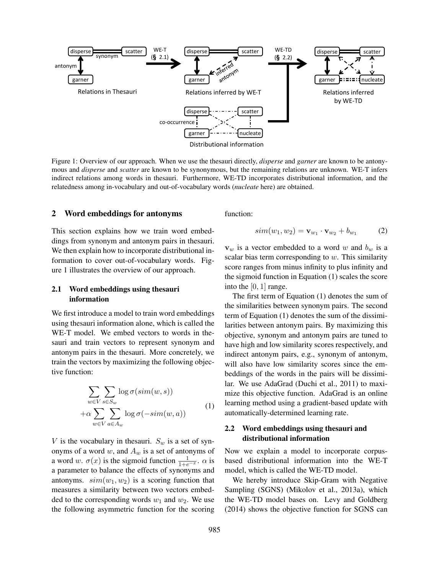

Figure 1: Overview of our approach. When we use the thesauri directly, *disperse* and *garner* are known to be antonymous and *disperse* and *scatter* are known to be synonymous, but the remaining relations are unknown. WE-T infers indirect relations among words in thesauri. Furthermore, WE-TD incorporates distributional information, and the relatedness among in-vocabulary and out-of-vocabulary words (*nucleate* here) are obtained.

#### 2 Word embeddings for antonyms

This section explains how we train word embeddings from synonym and antonym pairs in thesauri. We then explain how to incorporate distributional information to cover out-of-vocabulary words. Figure 1 illustrates the overview of our approach.

## 2.1 Word embeddings using thesauri information

We first introduce a model to train word embeddings using thesauri information alone, which is called the WE-T model. We embed vectors to words in thesauri and train vectors to represent synonym and antonym pairs in the thesauri. More concretely, we train the vectors by maximizing the following objective function:

$$
\sum_{w \in V} \sum_{s \in S_w} \log \sigma(\text{sim}(w, s)) + \alpha \sum_{w \in V} \sum_{a \in A_w} \log \sigma(-\text{sim}(w, a)) \tag{1}
$$

V is the vocabulary in the sauri.  $S_w$  is a set of synonyms of a word  $w$ , and  $A_w$  is a set of antonyms of a word w.  $\sigma(x)$  is the sigmoid function  $\frac{1}{1+e^{-x}}$ .  $\alpha$  is a parameter to balance the effects of synonyms and antonyms.  $sim(w_1, w_2)$  is a scoring function that measures a similarity between two vectors embedded to the corresponding words  $w_1$  and  $w_2$ . We use the following asymmetric function for the scoring function:

$$
sim(w_1, w_2) = \mathbf{v}_{w_1} \cdot \mathbf{v}_{w_2} + b_{w_1} \tag{2}
$$

 $v_w$  is a vector embedded to a word w and  $b_w$  is a scalar bias term corresponding to  $w$ . This similarity score ranges from minus infinity to plus infinity and the sigmoid function in Equation (1) scales the score into the  $[0, 1]$  range.

The first term of Equation (1) denotes the sum of the similarities between synonym pairs. The second term of Equation (1) denotes the sum of the dissimilarities between antonym pairs. By maximizing this objective, synonym and antonym pairs are tuned to have high and low similarity scores respectively, and indirect antonym pairs, e.g., synonym of antonym, will also have low similarity scores since the embeddings of the words in the pairs will be dissimilar. We use AdaGrad (Duchi et al., 2011) to maximize this objective function. AdaGrad is an online learning method using a gradient-based update with automatically-determined learning rate.

## 2.2 Word embeddings using thesauri and distributional information

Now we explain a model to incorporate corpusbased distributional information into the WE-T model, which is called the WE-TD model.

We hereby introduce Skip-Gram with Negative Sampling (SGNS) (Mikolov et al., 2013a), which the WE-TD model bases on. Levy and Goldberg (2014) shows the objective function for SGNS can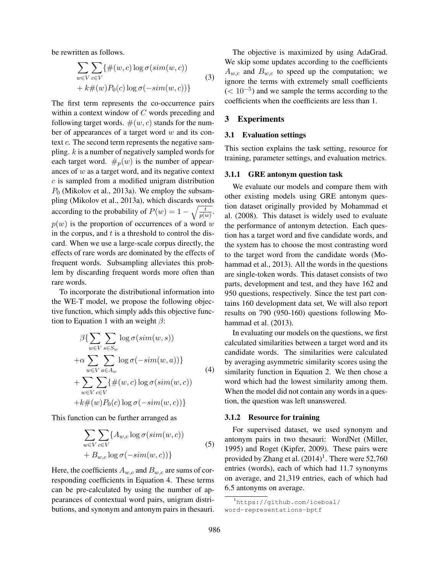be rewritten as follows.

$$
\sum_{w \in V} \sum_{c \in V} \{ \#(w, c) \log \sigma(\text{sim}(w, c))
$$
  
+  $k \#(w) P_0(c) \log \sigma(-\text{sim}(w, c)) \}$  (3)

The first term represents the co-occurrence pairs within a context window of  $C$  words preceding and following target words.  $\#(w, c)$  stands for the number of appearances of a target word  $w$  and its context  $c$ . The second term represents the negative sampling.  $k$  is a number of negatively sampled words for each target word.  $\#_p(w)$  is the number of appearances of  $w$  as a target word, and its negative context  $c$  is sampled from a modified unigram distribution  $P_0$  (Mikolov et al., 2013a). We employ the subsampling (Mikolov et al., 2013a), which discards words according to the probability of  $P(w) = 1 - \sqrt{\frac{t}{n^{(i)}}}$  $\frac{t}{p(w)}$ .  $p(w)$  is the proportion of occurrences of a word w in the corpus, and  $t$  is a threshold to control the discard. When we use a large-scale corpus directly, the effects of rare words are dominated by the effects of frequent words. Subsampling alleviates this problem by discarding frequent words more often than rare words.

To incorporate the distributional information into the WE-T model, we propose the following objective function, which simply adds this objective function to Equation 1 with an weight  $\beta$ :

$$
\beta \{ \sum_{w \in V} \sum_{s \in S_w} \log \sigma(\text{sim}(w, s))
$$
  
+
$$
\alpha \sum_{w \in V} \sum_{a \in A_w} \log \sigma(-\text{sim}(w, a)) \}
$$
  
+
$$
\sum_{w \in V} \sum_{c \in V} \{\#(w, c) \log \sigma(\text{sim}(w, c))
$$
  
+
$$
k \#(w) P_0(c) \log \sigma(-\text{sim}(w, c)) \}
$$
\n(4)

This function can be further arranged as

$$
\sum_{w \in V} \sum_{c \in V} \{ A_{w,c} \log \sigma(\text{sim}(w, c)) + B_{w,c} \log \sigma(-\text{sim}(w, c)) \}
$$
\n
$$
(5)
$$

Here, the coefficients  $A_{w,c}$  and  $B_{w,c}$  are sums of corresponding coefficients in Equation 4. These terms can be pre-calculated by using the number of appearances of contextual word pairs, unigram distributions, and synonym and antonym pairs in thesauri.

The objective is maximized by using AdaGrad. We skip some updates according to the coefficients  $A_{w,c}$  and  $B_{w,c}$  to speed up the computation; we ignore the terms with extremely small coefficients  $(< 10^{-5}$ ) and we sample the terms according to the coefficients when the coefficients are less than 1.

# 3 Experiments

## 3.1 Evaluation settings

This section explains the task setting, resource for training, parameter settings, and evaluation metrics.

#### 3.1.1 GRE antonym question task

We evaluate our models and compare them with other existing models using GRE antonym question dataset originally provided by Mohammad et al. (2008). This dataset is widely used to evaluate the performance of antonym detection. Each question has a target word and five candidate words, and the system has to choose the most contrasting word to the target word from the candidate words (Mohammad et al., 2013). All the words in the questions are single-token words. This dataset consists of two parts, development and test, and they have 162 and 950 questions, respectively. Since the test part contains 160 development data set, We will also report results on 790 (950-160) questions following Mohammad et al. (2013).

In evaluating our models on the questions, we first calculated similarities between a target word and its candidate words. The similarities were calculated by averaging asymmetric similarity scores using the similarity function in Equation 2. We then chose a word which had the lowest similarity among them. When the model did not contain any words in a question, the question was left unanswered.

#### 3.1.2 Resource for training

For supervised dataset, we used synonym and antonym pairs in two thesauri: WordNet (Miller, 1995) and Roget (Kipfer, 2009). These pairs were provided by Zhang et al.  $(2014)^1$ . There were 52,760 entries (words), each of which had 11.7 synonyms on average, and 21,319 entries, each of which had 6.5 antonyms on average.

<sup>1</sup>https://github.com/iceboal/ word-representations-bptf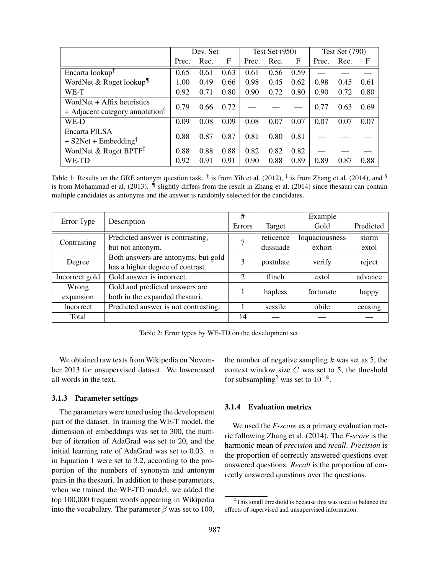|                                                       | Dev. Set |      |      | Test Set $(950)$ |      |      | <b>Test Set (790)</b> |      |            |
|-------------------------------------------------------|----------|------|------|------------------|------|------|-----------------------|------|------------|
|                                                       | Prec.    | Rec. | F    | Prec.            | Rec. | F    | Prec.                 | Rec. | $_{\rm F}$ |
| Encarta lookup <sup>T</sup>                           | 0.65     | 0.61 | 0.63 | 0.61             | 0.56 | 0.59 |                       |      |            |
| WordNet & Roget lookup $\P$                           | 1.00     | 0.49 | 0.66 | 0.98             | 0.45 | 0.62 | 0.98                  | 0.45 | 0.61       |
| WE-T                                                  | 0.92     | 0.71 | 0.80 | 0.90             | 0.72 | 0.80 | 0.90                  | 0.72 | 0.80       |
| WordNet $+$ Affix heuristics                          | 0.79     | 0.66 | 0.72 |                  |      |      | 0.77                  | 0.63 | 0.69       |
| $+$ Adjacent category annotation <sup>§</sup>         |          |      |      |                  |      |      |                       |      |            |
| WE-D                                                  | 0.09     | 0.08 | 0.09 | 0.08             | 0.07 | 0.07 | 0.07                  | 0.07 | 0.07       |
| Encarta PILSA                                         | 0.88     | 0.87 | 0.87 | 0.81             | 0.80 | 0.81 |                       |      |            |
| $+$ S2Net + Embedding <sup>†</sup>                    |          |      |      |                  |      |      |                       |      |            |
| WordNet & Roget BPTF <sup><math>\ddagger</math></sup> | 0.88     | 0.88 | 0.88 | 0.82             | 0.82 | 0.82 |                       |      |            |
| WE-TD                                                 | 0.92     | 0.91 | 0.91 | 0.90             | 0.88 | 0.89 | 0.89                  | 0.87 | 0.88       |

Table 1: Results on the GRE antonym question task.  $\dagger$  is from Yih et al. (2012),  $\dagger$  is from Zhang et al. (2014), and  $\ddagger$ is from Mohammad et al. (2013). ¶ slightly differs from the result in Zhang et al. (2014) since thesauri can contain multiple candidates as antonyms and the answer is randomly selected for the candidates.

|                |                                      | #              | Example   |                |           |  |
|----------------|--------------------------------------|----------------|-----------|----------------|-----------|--|
| Error Type     | Description                          | Errors         | Target    | Gold           | Predicted |  |
| Contrasting    | Predicted answer is contrasting,     | 7              | reticence | loquaciousness | storm     |  |
|                | but not antonym.                     |                | dussuade  | exhort         | extol     |  |
| Degree         | Both answers are antonyms, but gold  | 3              | postulate | verify         | reject    |  |
|                | has a higher degree of contrast.     |                |           |                |           |  |
| Incorrect gold | Gold answer is incorrect.            | $\overline{2}$ | flinch    | extol          | advance   |  |
| Wrong          | Gold and predicted answers are       |                | hapless   | fortunate      | happy     |  |
| expansion      | both in the expanded thesauri.       |                |           |                |           |  |
| Incorrect      | Predicted answer is not contrasting. |                | sessile   | obile          | ceasing   |  |
| Total          |                                      | 14             |           |                |           |  |

Table 2: Error types by WE-TD on the development set.

We obtained raw texts from Wikipedia on November 2013 for unsupervised dataset. We lowercased all words in the text.

## 3.1.3 Parameter settings

The parameters were tuned using the development part of the dataset. In training the WE-T model, the dimension of embeddings was set to 300, the number of iteration of AdaGrad was set to 20, and the initial learning rate of AdaGrad was set to 0.03.  $\alpha$ in Equation 1 were set to 3.2, according to the proportion of the numbers of synonym and antonym pairs in the thesauri. In addition to these parameters, when we trained the WE-TD model, we added the top 100,000 frequent words appearing in Wikipedia into the vocabulary. The parameter  $\beta$  was set to 100,

the number of negative sampling  $k$  was set as 5, the context window size  $C$  was set to 5, the threshold for subsampling<sup>2</sup> was set to  $10^{-8}$ .

#### 3.1.4 Evaluation metrics

We used the *F-score* as a primary evaluation metric following Zhang et al. (2014). The *F-score* is the harmonic mean of *precision* and *recall*. *Precision* is the proportion of correctly answered questions over answered questions. *Recall* is the proportion of correctly answered questions over the questions.

<sup>&</sup>lt;sup>2</sup>This small threshold is because this was used to balance the effects of supervised and unsupervised information.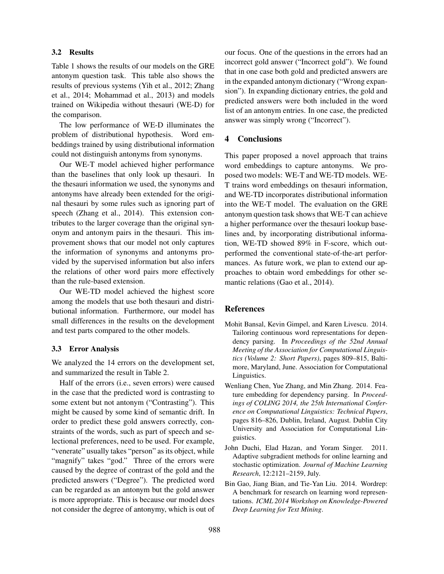## 3.2 Results

Table 1 shows the results of our models on the GRE antonym question task. This table also shows the results of previous systems (Yih et al., 2012; Zhang et al., 2014; Mohammad et al., 2013) and models trained on Wikipedia without thesauri (WE-D) for the comparison.

The low performance of WE-D illuminates the problem of distributional hypothesis. Word embeddings trained by using distributional information could not distinguish antonyms from synonyms.

Our WE-T model achieved higher performance than the baselines that only look up thesauri. In the thesauri information we used, the synonyms and antonyms have already been extended for the original thesauri by some rules such as ignoring part of speech (Zhang et al., 2014). This extension contributes to the larger coverage than the original synonym and antonym pairs in the thesauri. This improvement shows that our model not only captures the information of synonyms and antonyms provided by the supervised information but also infers the relations of other word pairs more effectively than the rule-based extension.

Our WE-TD model achieved the highest score among the models that use both thesauri and distributional information. Furthermore, our model has small differences in the results on the development and test parts compared to the other models.

#### 3.3 Error Analysis

We analyzed the 14 errors on the development set, and summarized the result in Table 2.

Half of the errors (i.e., seven errors) were caused in the case that the predicted word is contrasting to some extent but not antonym ("Contrasting"). This might be caused by some kind of semantic drift. In order to predict these gold answers correctly, constraints of the words, such as part of speech and selectional preferences, need to be used. For example, "venerate" usually takes "person" as its object, while "magnify" takes "god." Three of the errors were caused by the degree of contrast of the gold and the predicted answers ("Degree"). The predicted word can be regarded as an antonym but the gold answer is more appropriate. This is because our model does not consider the degree of antonymy, which is out of our focus. One of the questions in the errors had an incorrect gold answer ("Incorrect gold"). We found that in one case both gold and predicted answers are in the expanded antonym dictionary ("Wrong expansion"). In expanding dictionary entries, the gold and predicted answers were both included in the word list of an antonym entries. In one case, the predicted answer was simply wrong ("Incorrect").

# 4 Conclusions

This paper proposed a novel approach that trains word embeddings to capture antonyms. We proposed two models: WE-T and WE-TD models. WE-T trains word embeddings on thesauri information, and WE-TD incorporates distributional information into the WE-T model. The evaluation on the GRE antonym question task shows that WE-T can achieve a higher performance over the thesauri lookup baselines and, by incorporating distributional information, WE-TD showed 89% in F-score, which outperformed the conventional state-of-the-art performances. As future work, we plan to extend our approaches to obtain word embeddings for other semantic relations (Gao et al., 2014).

#### References

- Mohit Bansal, Kevin Gimpel, and Karen Livescu. 2014. Tailoring continuous word representations for dependency parsing. In *Proceedings of the 52nd Annual Meeting of the Association for Computational Linguistics (Volume 2: Short Papers)*, pages 809–815, Baltimore, Maryland, June. Association for Computational Linguistics.
- Wenliang Chen, Yue Zhang, and Min Zhang. 2014. Feature embedding for dependency parsing. In *Proceedings of COLING 2014, the 25th International Conference on Computational Linguistics: Technical Papers*, pages 816–826, Dublin, Ireland, August. Dublin City University and Association for Computational Linguistics.
- John Duchi, Elad Hazan, and Yoram Singer. 2011. Adaptive subgradient methods for online learning and stochastic optimization. *Journal of Machine Learning Research*, 12:2121–2159, July.
- Bin Gao, Jiang Bian, and Tie-Yan Liu. 2014. Wordrep: A benchmark for research on learning word representations. *ICML 2014 Workshop on Knowledge-Powered Deep Learning for Text Mining*.